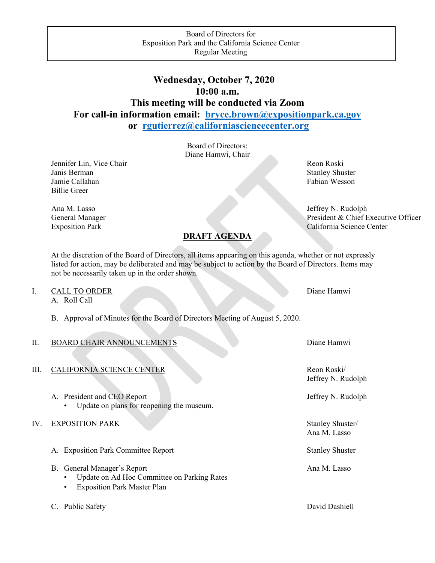# **Wednesday, October 7, 2020 10:00 a.m. This meeting will be conducted via Zoom For call-in information email: [bryce.brown@expositionpark.ca.gov](mailto:bryce.brown@expositionpark.ca.gov)**

**or [rgutierrez@californiasciencecenter.org](mailto:rgutierrez@californiasciencecenter.org)**

Board of Directors: Diane Hamwi, Chair

Jennifer Lin, Vice Chair Revenue and The Reon Roski Janis Berman Stanley Shuster Jamie Callahan Fabian Wesson Fabian Wesson Billie Greer

## **DRAFT AGENDA**

At the discretion of the Board of Directors, all items appearing on this agenda, whether or not expressly listed for action, may be deliberated and may be subject to action by the Board of Directors. Items may not be necessarily taken up in the order shown.

I. CALL TO ORDER Diane Hamwi

A. Roll Call

B. Approval of Minutes for the Board of Directors Meeting of August 5, 2020.

### II. BOARD CHAIR ANNOUNCEMENTS Diane Hamming Hamming Diane Hamming Diane Hamming Diane Hamming Diane Hamming Di

- III. CALIFORNIA SCIENCE CENTER Reon Roski/
	- A. President and CEO Report Jeffrey N. Rudolph • Update on plans for reopening the museum.
- IV. EXPOSITION PARK Stanley Shuster/
	- A. Exposition Park Committee Report Stanley Shuster
	- B. General Manager's Report **Analyzer** Ana M. Lasso
		- Update on Ad Hoc Committee on Parking Rates
		- **Exposition Park Master Plan**
	- C. Public Safety David Dashiell

Ana M. Lasso Jeffrey N. Rudolph General Manager President & Chief Executive Officer Exposition Park California Science Center

| Diane Hamwi |  |  |
|-------------|--|--|
|             |  |  |

Jeffrey N. Rudolph

Ana M. Lasso